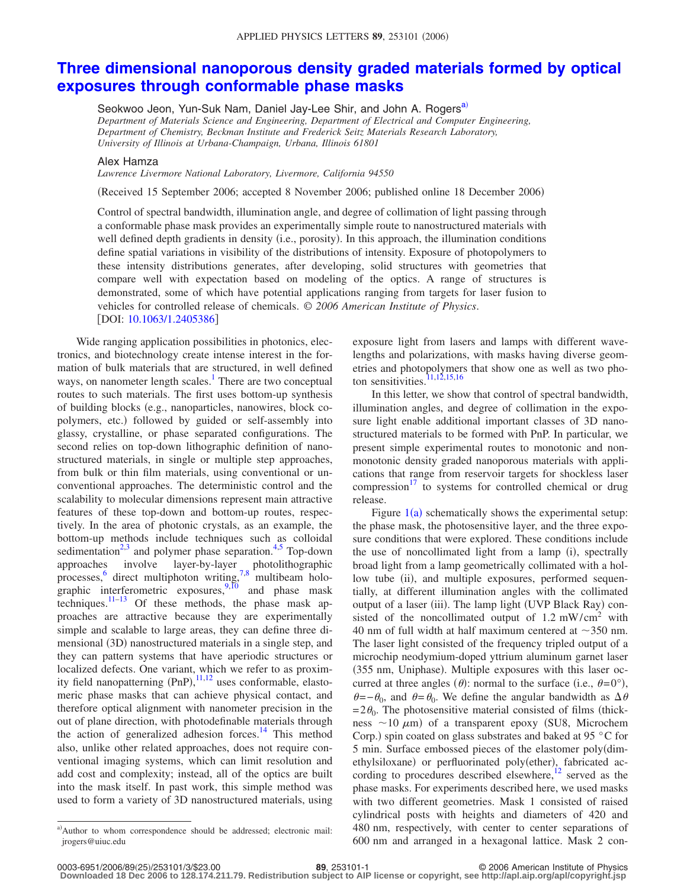## **[Three dimensional nanoporous density graded materials formed by optical](http://dx.doi.org/10.1063/1.2405386) [exposures through conformable phase masks](http://dx.doi.org/10.1063/1.2405386)**

Seokwoo Jeon, Yun-Suk Nam, Daniel Jay-Lee Shir, and John A. Rogers<sup>a)</sup> *Department of Materials Science and Engineering, Department of Electrical and Computer Engineering, Department of Chemistry, Beckman Institute and Frederick Seitz Materials Research Laboratory, University of Illinois at Urbana-Champaign, Urbana, Illinois 61801*

## Alex Hamza

*Lawrence Livermore National Laboratory, Livermore, California 94550*

(Received 15 September 2006; accepted 8 November 2006; published online 18 December 2006)

Control of spectral bandwidth, illumination angle, and degree of collimation of light passing through a conformable phase mask provides an experimentally simple route to nanostructured materials with well defined depth gradients in density (i.e., porosity). In this approach, the illumination conditions define spatial variations in visibility of the distributions of intensity. Exposure of photopolymers to these intensity distributions generates, after developing, solid structures with geometries that compare well with expectation based on modeling of the optics. A range of structures is demonstrated, some of which have potential applications ranging from targets for laser fusion to vehicles for controlled release of chemicals. © *2006 American Institute of Physics*. [DOI: [10.1063/1.2405386](http://dx.doi.org/10.1063/1.2405386)]

Wide ranging application possibilities in photonics, electronics, and biotechnology create intense interest in the formation of bulk materials that are structured, in well defined ways, on nanometer length scales.<sup>1</sup> There are two conceptual routes to such materials. The first uses bottom-up synthesis of building blocks (e.g., nanoparticles, nanowires, block copolymers, etc.) followed by guided or self-assembly into glassy, crystalline, or phase separated configurations. The second relies on top-down lithographic definition of nanostructured materials, in single or multiple step approaches, from bulk or thin film materials, using conventional or unconventional approaches. The deterministic control and the scalability to molecular dimensions represent main attractive features of these top-down and bottom-up routes, respectively. In the area of photonic crystals, as an example, the bottom-up methods include techniques such as colloidal sedimentation<sup>2,[3](#page-2-2)</sup> and polymer phase separation.<sup>4,[5](#page-2-4)</sup> Top-down approaches involve layer-by-layer photolithographic processes,<sup>[6](#page-2-5)</sup> direct multiphoton writing,<sup>7[,8](#page-2-7)</sup> multibeam holographic interferometric exposures,  $\frac{9,10}{2}$  $\frac{9,10}{2}$  $\frac{9,10}{2}$  and phase mask techniques. $11-13$  Of these methods, the phase mask approaches are attractive because they are experimentally simple and scalable to large areas, they can define three dimensional (3D) nanostructured materials in a single step, and they can pattern systems that have aperiodic structures or localized defects. One variant, which we refer to as proxim-ity field nanopatterning (PnP), <sup>[11](#page-2-10)[,12](#page-2-12)</sup> uses conformable, elastomeric phase masks that can achieve physical contact, and therefore optical alignment with nanometer precision in the out of plane direction, with photodefinable materials through the action of generalized adhesion forces. $14$  This method also, unlike other related approaches, does not require conventional imaging systems, which can limit resolution and add cost and complexity; instead, all of the optics are built into the mask itself. In past work, this simple method was used to form a variety of 3D nanostructured materials, using

exposure light from lasers and lamps with different wavelengths and polarizations, with masks having diverse geometries and photopolymers that show one as well as two photon sensitivities. $\frac{11,12,15,16}{11,12,15,16}$  $\frac{11,12,15,16}{11,12,15,16}$  $\frac{11,12,15,16}{11,12,15,16}$  $\frac{11,12,15,16}{11,12,15,16}$  $\frac{11,12,15,16}{11,12,15,16}$ 

In this letter, we show that control of spectral bandwidth, illumination angles, and degree of collimation in the exposure light enable additional important classes of 3D nanostructured materials to be formed with PnP. In particular, we present simple experimental routes to monotonic and nonmonotonic density graded nanoporous materials with applications that range from reservoir targets for shockless laser compression<sup>17</sup> to systems for controlled chemical or drug release.

Figure  $1(a)$  $1(a)$  schematically shows the experimental setup: the phase mask, the photosensitive layer, and the three exposure conditions that were explored. These conditions include the use of noncollimated light from a lamp (i), spectrally broad light from a lamp geometrically collimated with a hollow tube (ii), and multiple exposures, performed sequentially, at different illumination angles with the collimated output of a laser (iii). The lamp light (UVP Black Ray) consisted of the noncollimated output of  $1.2 \text{ mW/cm}^2$  with 40 nm of full width at half maximum centered at  $\sim$ 350 nm. The laser light consisted of the frequency tripled output of a microchip neodymium-doped yttrium aluminum garnet laser (355 nm, Uniphase). Multiple exposures with this laser occurred at three angles  $(\theta)$ : normal to the surface (i.e.,  $\theta = 0^{\circ}$ ),  $\theta$ =− $\theta_0$ , and  $\theta$ = $\theta_0$ . We define the angular bandwidth as  $\Delta \theta$  $= 2\theta_0$ . The photosensitive material consisted of films (thickness  $\sim$ 10  $\mu$ m) of a transparent epoxy (SU8, Microchem Corp.) spin coated on glass substrates and baked at 95 °C for 5 min. Surface embossed pieces of the elastomer polydimethylsiloxane) or perfluorinated poly(ether), fabricated according to procedures described elsewhere, $\frac{12}{12}$  served as the phase masks. For experiments described here, we used masks with two different geometries. Mask 1 consisted of raised cylindrical posts with heights and diameters of 420 and 480 nm, respectively, with center to center separations of 600 nm and arranged in a hexagonal lattice. Mask 2 con-

<span id="page-0-0"></span>a) Author to whom correspondence should be addressed; electronic mail: jrogers@uiuc.edu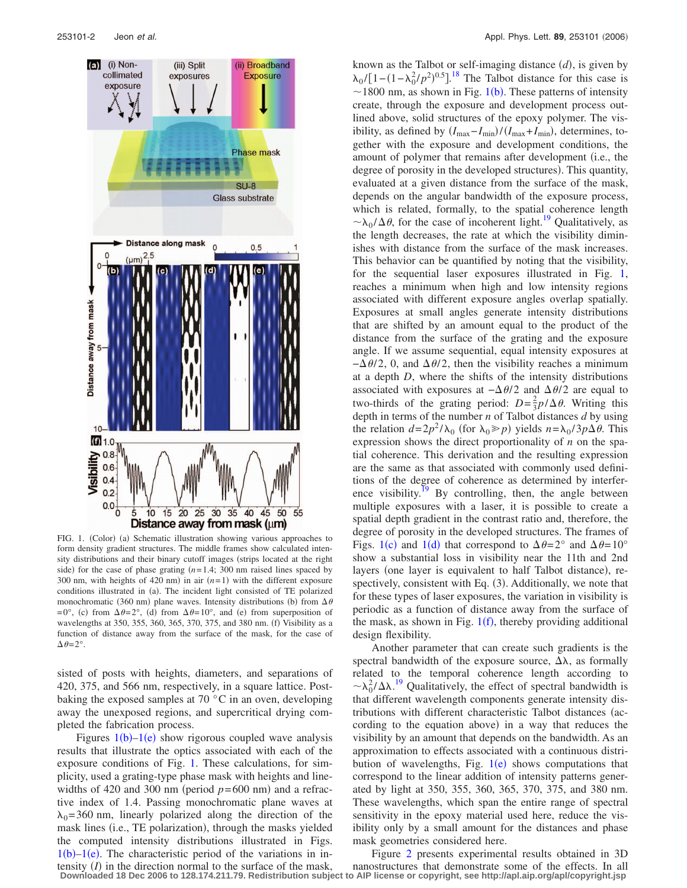<span id="page-1-0"></span>

FIG. 1. (Color) (a) Schematic illustration showing various approaches to form density gradient structures. The middle frames show calculated intensity distributions and their binary cutoff images (strips located at the right side) for the case of phase grating  $(n=1.4; 300 \text{ nm}$  raised lines spaced by 300 nm, with heights of 420 nm) in air  $(n=1)$  with the different exposure conditions illustrated in (a). The incident light consisted of TE polarized monochromatic (360 nm) plane waves. Intensity distributions (b) from  $\Delta\theta$  $= 0^{\circ}$ , (c) from  $\Delta \theta = 2^{\circ}$ , (d) from  $\Delta \theta = 10^{\circ}$ , and (e) from superposition of wavelengths at 350, 355, 360, 365, 370, 375, and 380 nm. (f) Visibility as a function of distance away from the surface of the mask, for the case of  $\Delta \theta = 2^{\circ}$ .

sisted of posts with heights, diameters, and separations of 420, 375, and 566 nm, respectively, in a square lattice. Postbaking the exposed samples at 70 °C in an oven, developing away the unexposed regions, and supercritical drying completed the fabrication process.

Figures  $1(b)-1(e)$  $1(b)-1(e)$  show rigorous coupled wave analysis results that illustrate the optics associated with each of the exposure conditions of Fig. [1.](#page-1-0) These calculations, for simplicity, used a grating-type phase mask with heights and linewidths of 420 and 300 nm (period  $p=600$  nm) and a refractive index of 1.4. Passing monochromatic plane waves at  $\lambda_0$ = 360 nm, linearly polarized along the direction of the mask lines (i.e., TE polarization), through the masks yielded the computed intensity distributions illustrated in Figs.  $1(b)-1(e)$  $1(b)-1(e)$ . The characteristic period of the variations in intensity  $(I)$  in the direction normal to the surface of the mask,

known as the Talbot or self-imaging distance  $(d)$ , is given by  $\lambda_0 / [1 - (1 - \lambda_0^2 / p^2)^{0.5}]$ .<sup>[18](#page-2-17)</sup> The Talbot distance for this case is  $\sim$ [1](#page-1-0)800 nm, as shown in Fig. 1(b). These patterns of intensity create, through the exposure and development process outlined above, solid structures of the epoxy polymer. The visibility, as defined by  $(I_{\text{max}} - I_{\text{min}})/(I_{\text{max}} + I_{\text{min}})$ , determines, together with the exposure and development conditions, the amount of polymer that remains after development (i.e., the degree of porosity in the developed structures). This quantity, evaluated at a given distance from the surface of the mask, depends on the angular bandwidth of the exposure process, which is related, formally, to the spatial coherence length  $-\lambda_0/\Delta\theta$ , for the case of incoherent light.<sup>19</sup> Qualitatively, as the length decreases, the rate at which the visibility diminishes with distance from the surface of the mask increases. This behavior can be quantified by noting that the visibility, for the sequential laser exposures illustrated in Fig. [1,](#page-1-0) reaches a minimum when high and low intensity regions associated with different exposure angles overlap spatially. Exposures at small angles generate intensity distributions that are shifted by an amount equal to the product of the distance from the surface of the grating and the exposure angle. If we assume sequential, equal intensity exposures at  $-\Delta\theta/2$ , 0, and  $\Delta\theta/2$ , then the visibility reaches a minimum at a depth *D*, where the shifts of the intensity distributions associated with exposures at  $-\Delta\theta/2$  and  $\Delta\theta/2$  are equal to two-thirds of the grating period:  $D = \frac{2}{3}p/\Delta\theta$ . Writing this depth in terms of the number *n* of Talbot distances *d* by using the relation  $d=2p^2/\lambda_0$  (for  $\lambda_0 \gg p$ ) yields  $n = \lambda_0 / 3p\Delta\theta$ . This expression shows the direct proportionality of *n* on the spatial coherence. This derivation and the resulting expression are the same as that associated with commonly used definitions of the degree of coherence as determined by interference visibility. $19$  By controlling, then, the angle between multiple exposures with a laser, it is possible to create a spatial depth gradient in the contrast ratio and, therefore, the degree of porosity in the developed structures. The frames of Figs. [1](#page-1-0)(c) and 1(d) that correspond to  $\Delta \theta = 2^{\circ}$  and  $\Delta \theta = 10^{\circ}$ show a substantial loss in visibility near the 11th and 2nd layers (one layer is equivalent to half Talbot distance), respectively, consistent with Eq. (3). Additionally, we note that for these types of laser exposures, the variation in visibility is periodic as a function of distance away from the surface of the mask, as shown in Fig.  $1(f)$  $1(f)$ , thereby providing additional design flexibility.

Another parameter that can create such gradients is the spectral bandwidth of the exposure source,  $\Delta\lambda$ , as formally related to the temporal coherence length according to  $-\lambda_0^2/\Delta\lambda$ .<sup>[19](#page-2-18)</sup> Qualitatively, the effect of spectral bandwidth is that different wavelength components generate intensity distributions with different characteristic Talbot distances (according to the equation above) in a way that reduces the visibility by an amount that depends on the bandwidth. As an approximation to effects associated with a continuous distribution of wavelengths, Fig.  $1(e)$  $1(e)$  shows computations that correspond to the linear addition of intensity patterns generated by light at 350, 355, 360, 365, 370, 375, and 380 nm. These wavelengths, which span the entire range of spectral sensitivity in the epoxy material used here, reduce the visibility only by a small amount for the distances and phase mask geometries considered here.

Figure [2](#page-2-19) presents experimental results obtained in 3D nanostructures that demonstrate some of the effects. In all **Downloaded 18 Dec 2006 to 128.174.211.79. Redistribution subject to AIP license or copyright, see http://apl.aip.org/apl/copyright.jsp**